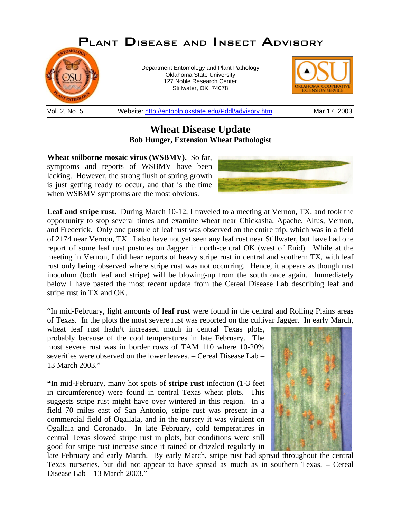

**Wheat Disease Update Bob Hunger, Extension Wheat Pathologist**

**Wheat soilborne mosaic virus (WSBMV).** So far, symptoms and reports of WSBMV have been lacking. However, the strong flush of spring growth is just getting ready to occur, and that is the time when WSBMV symptoms are the most obvious.



**Leaf and stripe rust.** During March 10-12, I traveled to a meeting at Vernon, TX, and took the opportunity to stop several times and examine wheat near Chickasha, Apache, Altus, Vernon, and Frederick. Only one pustule of leaf rust was observed on the entire trip, which was in a field of 2174 near Vernon, TX. I also have not yet seen any leaf rust near Stillwater, but have had one report of some leaf rust pustules on Jagger in north-central OK (west of Enid). While at the meeting in Vernon, I did hear reports of heavy stripe rust in central and southern TX, with leaf rust only being observed where stripe rust was not occurring. Hence, it appears as though rust inoculum (both leaf and stripe) will be blowing-up from the south once again. Immediately below I have pasted the most recent update from the Cereal Disease Lab describing leaf and stripe rust in TX and OK.

"In mid-February, light amounts of **leaf rust** were found in the central and Rolling Plains areas of Texas. In the plots the most severe rust was reported on the cultivar Jagger. In early March,

wheat leaf rust hadn<sup>1</sup>t increased much in central Texas plots, probably because of the cool temperatures in late February. The most severe rust was in border rows of TAM 110 where 10-20% severities were observed on the lower leaves. – Cereal Disease Lab – 13 March 2003."

**"**In mid-February, many hot spots of **stripe rust** infection (1-3 feet in circumference) were found in central Texas wheat plots. This suggests stripe rust might have over wintered in this region. In a field 70 miles east of San Antonio, stripe rust was present in a commercial field of Ogallala, and in the nursery it was virulent on Ogallala and Coronado. In late February, cold temperatures in central Texas slowed stripe rust in plots, but conditions were still good for stripe rust increase since it rained or drizzled regularly in



late February and early March. By early March, stripe rust had spread throughout the central Texas nurseries, but did not appear to have spread as much as in southern Texas. – Cereal Disease Lab – 13 March 2003."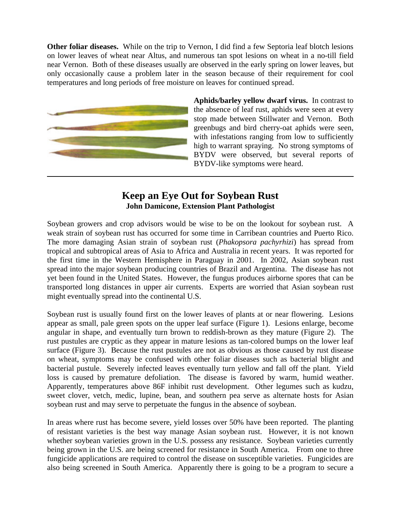**Other foliar diseases.** While on the trip to Vernon, I did find a few Septoria leaf blotch lesions on lower leaves of wheat near Altus, and numerous tan spot lesions on wheat in a no-till field near Vernon. Both of these diseases usually are observed in the early spring on lower leaves, but only occasionally cause a problem later in the season because of their requirement for cool temperatures and long periods of free moisture on leaves for continued spread.



**Aphids/barley yellow dwarf virus.** In contrast to the absence of leaf rust, aphids were seen at every stop made between Stillwater and Vernon. Both greenbugs and bird cherry-oat aphids were seen, with infestations ranging from low to sufficiently high to warrant spraying. No strong symptoms of BYDV were observed, but several reports of BYDV-like symptoms were heard.

## **Keep an Eye Out for Soybean Rust John Damicone, Extension Plant Pathologist**

Soybean growers and crop advisors would be wise to be on the lookout for soybean rust. A weak strain of soybean rust has occurred for some time in Carribean countries and Puerto Rico. The more damaging Asian strain of soybean rust (*Phakopsora pachyrhizi*) has spread from tropical and subtropical areas of Asia to Africa and Australia in recent years. It was reported for the first time in the Western Hemisphere in Paraguay in 2001. In 2002, Asian soybean rust spread into the major soybean producing countries of Brazil and Argentina. The disease has not yet been found in the United States. However, the fungus produces airborne spores that can be transported long distances in upper air currents. Experts are worried that Asian soybean rust might eventually spread into the continental U.S.

Soybean rust is usually found first on the lower leaves of plants at or near flowering. Lesions appear as small, pale green spots on the upper leaf surface (Figure 1). Lesions enlarge, become angular in shape, and eventually turn brown to reddish-brown as they mature (Figure 2). The rust pustules are cryptic as they appear in mature lesions as tan-colored bumps on the lower leaf surface (Figure 3). Because the rust pustules are not as obvious as those caused by rust disease on wheat, symptoms may be confused with other foliar diseases such as bacterial blight and bacterial pustule. Severely infected leaves eventually turn yellow and fall off the plant. Yield loss is caused by premature defoliation. The disease is favored by warm, humid weather. Apparently, temperatures above 86F inhibit rust development. Other legumes such as kudzu, sweet clover, vetch, medic, lupine, bean, and southern pea serve as alternate hosts for Asian soybean rust and may serve to perpetuate the fungus in the absence of soybean.

In areas where rust has become severe, yield losses over 50% have been reported. The planting of resistant varieties is the best way manage Asian soybean rust. However, it is not known whether soybean varieties grown in the U.S. possess any resistance. Soybean varieties currently being grown in the U.S. are being screened for resistance in South America. From one to three fungicide applications are required to control the disease on susceptible varieties. Fungicides are also being screened in South America. Apparently there is going to be a program to secure a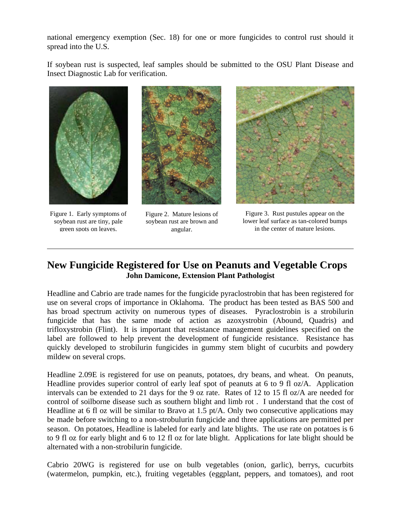national emergency exemption (Sec. 18) for one or more fungicides to control rust should it spread into the U.S.

If soybean rust is suspected, leaf samples should be submitted to the OSU Plant Disease and Insect Diagnostic Lab for verification.



Figure 1. Early symptoms of soybean rust are tiny, pale green spots on leaves.



Figure 2. Mature lesions of soybean rust are brown and angular.



Figure 3. Rust pustules appear on the lower leaf surface as tan-colored bumps in the center of mature lesions.

## **New Fungicide Registered for Use on Peanuts and Vegetable Crops John Damicone, Extension Plant Pathologist**

Headline and Cabrio are trade names for the fungicide pyraclostrobin that has been registered for use on several crops of importance in Oklahoma. The product has been tested as BAS 500 and has broad spectrum activity on numerous types of diseases. Pyraclostrobin is a strobilurin fungicide that has the same mode of action as azoxystrobin (Abound, Quadris) and trifloxystrobin (Flint). It is important that resistance management guidelines specified on the label are followed to help prevent the development of fungicide resistance. Resistance has quickly developed to strobilurin fungicides in gummy stem blight of cucurbits and powdery mildew on several crops.

Headline 2.09E is registered for use on peanuts, potatoes, dry beans, and wheat. On peanuts, Headline provides superior control of early leaf spot of peanuts at 6 to 9 fl oz/A. Application intervals can be extended to 21 days for the 9 oz rate. Rates of 12 to 15 fl oz/A are needed for control of soilborne disease such as southern blight and limb rot . I understand that the cost of Headline at 6 fl oz will be similar to Bravo at 1.5 pt/A. Only two consecutive applications may be made before switching to a non-strobulurin fungicide and three applications are permitted per season. On potatoes, Headline is labeled for early and late blights. The use rate on potatoes is 6 to 9 fl oz for early blight and 6 to 12 fl oz for late blight. Applications for late blight should be alternated with a non-strobilurin fungicide.

Cabrio 20WG is registered for use on bulb vegetables (onion, garlic), berrys, cucurbits (watermelon, pumpkin, etc.), fruiting vegetables (eggplant, peppers, and tomatoes), and root